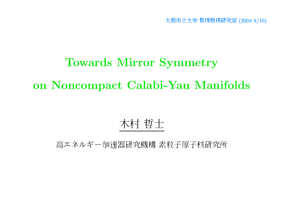阪市立大学 数理物理研究室 (2004 8/10)

# Towards Mirror Symmetry on Noncompact Calabi-Yau Manifolds

# 木村 哲士

高エネルギー加速器研究機構 素粒子原子核研究所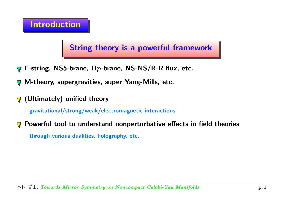# Introduction

String theory is <sup>a</sup> powerful framework

- F-string, NS5-brane, Dp-brane, NS-NS/R-R flux, etc.  $\bm{\nabla}$
- M-theory, supergravities, super Yang-Mills, etc.  $\sqrt{}$
- $\nabla$  (Ultimately) unified theory

gravitational/strong/weak/electromagnetic interactions

Powerful tool to understand nonperturbative effects in field theories  $\nabla$ through various dualities, holography, etc.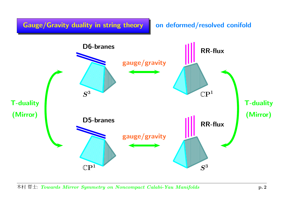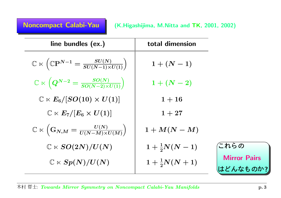| line bundles (ex.)                                                                                  | total dimension         |                                |
|-----------------------------------------------------------------------------------------------------|-------------------------|--------------------------------|
| $\mathbb{C} \ltimes \left( \mathbb{C} \mathbf{P}^{N-1} = \frac{SU(N)}{SU(N-1) \times U(1)} \right)$ | $1 + (N - 1)$           |                                |
| $\mathbb{C} \ltimes \left( Q^{N-2} = \frac{SO(N)}{SO(N-2) \times U(1)} \right).$                    | $1 + (N - 2)$           |                                |
| $\mathbb{C} \ltimes E_6/[SO(10) \times U(1)]$                                                       | $1 + 16$                |                                |
| $\mathbb{C} \ltimes E_7/[E_6 \times U(1)]$                                                          | $1 + 27$                |                                |
| $\mathbb{C} \ltimes \left( \mathbf{G}_{N,M} = \frac{U(N)}{U(N-M) \times U(M)} \right)$              | $1+M(N-M)$              |                                |
| $\mathbb{C} \ltimes SO(2N)/U(N)$                                                                    | $1 + \frac{1}{2}N(N-1)$ | これらの                           |
| $\mathbb{C} \ltimes Sp(N)/U(N)$                                                                     | $1+\frac{1}{2}N(N+1)$   | <b>Mirror Pairs</b><br>はどんなものか |

?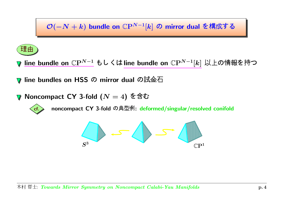$\mathcal{O}(-N+k)$  bundle on  $\mathbb{C}\mathrm{P}^{N-1}[k]$  の mirror dual を構成す



line bundle on  $\mathbb{C}\mathrm{P}^{N-1}$  もしくはline bundle on  $\mathbb{C}\mathrm{P}^{N-1}[k]$  以上の情報を持

line bundles on HSS の mirror dual の試金  $\boldsymbol{\nabla}$ 

Noncompact CY 3-fold ( $N=4$ ) を含む  $\boldsymbol{\nabla}$ 



noncompact CY 3-fold の典型例: deformed/singular/resolved conifold

$$
\bigotimes_{S^3} S = \bigotimes_{\mathbb{C}\mathrm{P}^1} S^{\bullet}
$$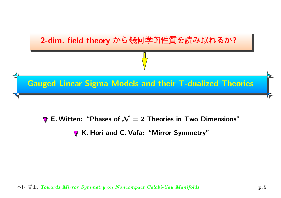

E. Witten: "Phases of  ${\cal N}=2$  Theories in Two Dimensions"

K. Hori and C. Vafa: "Mirror Symmetry"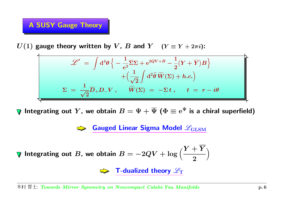# A SUSY Gauge Theory

 $U(1)$  gauge theory written by V, B and Y ( $Y \equiv Y + 2\pi i$ ):

$$
\mathscr{L}' = \int d^4 \theta \left\{ -\frac{1}{e^2} \overline{\Sigma} \Sigma + e^{2QV+B} - \frac{1}{2} (Y + \overline{Y}) B \right\} \n+ \left( \frac{1}{\sqrt{2}} \int d^2 \tilde{\theta} \; \widetilde{W}(\Sigma) + h.c. \right) \n\Sigma = \frac{1}{\sqrt{2}} \overline{D}_+ D_- V \,, \quad \widetilde{W}(\Sigma) = -\Sigma t \,, \quad t = r - i\theta
$$

**V** Integrating out Y, we obtain  $B = \Psi + \overline{\Psi}$  ( $\Phi \equiv e^{\Psi}$  is a chiral superfield)

**Gauged Linear Sigma Model**  $\mathscr{L}_{\text{GLSM}}$ 

$$
\forall \text{ Integrating out } B, \text{ we obtain } B = -2QV + \log\left(\frac{Y + \overline{Y}}{2}\right)
$$

T-dualized theory  $\mathscr{L}_{\mathrm{T}}$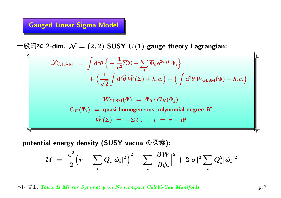### Gauged Linear Sigma Model

 $\mathbf{I}$ 

般的な 2-dim.  $\mathcal{N}=(2,2)$  SUSY  $U(1)$  gauge theory Lagrangian:

$$
\mathcal{L}_{\text{GLSM}} = \int d^4\theta \left\{ -\frac{1}{e^2} \overline{\Sigma} \Sigma + \sum_i \overline{\Phi}_i e^{2Q_i V} \Phi_i \right\} \n+ \left( \frac{1}{\sqrt{2}} \int d^2\tilde{\theta} \widetilde{W}(\Sigma) + h.c. \right) + \left( \int d^2\theta W_{\text{GLSM}}(\Phi) + h.c. \right) \nW_{\text{GLSM}}(\Phi) = \Phi_0 \cdot G_K(\Phi_j) \nG_K(\Phi_i) = \text{quasi-homogeneous polynomial degree } K \n\widetilde{W}(\Sigma) = -\Sigma t, \quad t = r - i\theta
$$

potential energy density (SUSY vacua の探索):

$$
\mathcal{U} \;=\; \frac{e^2}{2}\Big(r-\sum_i Q_i |\phi_i|^2\Big)^2+\sum_i \Big|\frac{\partial W}{\partial \phi_i}\Big|^2+2|\sigma|^2\sum_i Q_i^2|\phi_i|^2
$$

 $\mathbf{A}$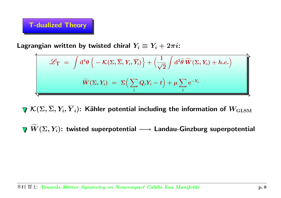#### T-dualized Theory

Lagrangian written by twisted chiral  $Y_i \equiv Y_i + 2\pi i$ :

$$
\mathscr{L}_{\mathrm{T}} = \int d^4 \theta \left\{ -\mathcal{K}(\Sigma, \overline{\Sigma}, Y_i, \overline{Y}_i) \right\} + \left( \frac{1}{\sqrt{2}} \int d^2 \widetilde{\theta} \ \widetilde{W}(\Sigma, Y_i) + h.c. \right)
$$

$$
\widetilde{W}(\Sigma, Y_i) = \Sigma \left( \sum_i Q_i Y_i - t \right) + \mu \sum_i e^{-Y_i}
$$

 $\nabla \mathcal{K}(\Sigma, \overline{\Sigma}, Y_i, \overline{Y}_i)$ : Kähler potential including the information of  $W_{\text{GLSM}}$ 

 $\boldsymbol{W}$  $\widetilde{\phantom{m}}$  $(\Sigma, Y_i)$ : twisted superpotential  $\longrightarrow$  Landau-Ginzburg superpotential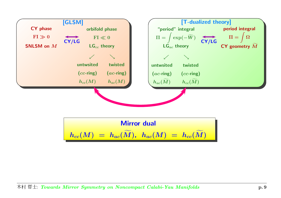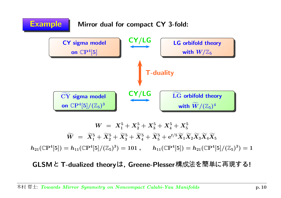

GLSMと T-dualized theoryは, Greene-Plesser 構成法を簡単に再現す !<br>!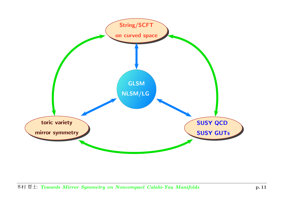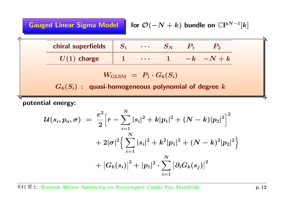Gauged Linear Sigma Model

for 
$$
\mathcal{O}(-N+k)
$$
 bundle on  $\mathbb{C}\mathrm{P}^{N-1}[k]$ 

| chiral superfields | $\begin{array}{cccccccccccccc} \bullet & \bullet & \bullet & \bullet & \bullet \end{array}$ |  |  |
|--------------------|---------------------------------------------------------------------------------------------|--|--|
| $UU(1)$ charge     | $\bullet\quad\bullet\quad\bullet$                                                           |  |  |

$$
W_{\rm GLSM} \,\,=\,\, P_1 \cdot G_k(S_i)
$$

 $G_k(S_i)$  : quasi-homogeneous polynomial of degree  $k$ 

potential energy:

$$
\begin{aligned} \mathcal{U}(s_i,p_a,\sigma) \,\, & = \,\, \frac{e^2}{2}\Big[r-\sum_{i=1}^N |s_i|^2 + k|p_1|^2 + (N-k)|p_2|^2\Big]^2 \\ & + 2|\sigma|^2\Big\{\sum_{i=1}^N |s_i|^2 + k^2|p_1|^2 + (N-k)^2|p_2|^2\Big\} \\ & + \big|G_k(s_i)\big|^2 + |p_1|^2 \cdot \sum_{i=1}^N \big|\partial_i G_k(s_j)\big|^2 \end{aligned}
$$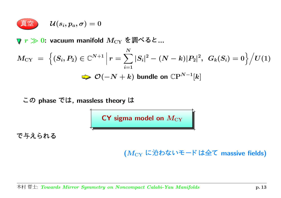$$
\mathcal{U}(s_i,p_a,\sigma)=0
$$

 $r\gg 0$ : vacuum manifold  $M_{\rm CY}$  を調べると ...

$$
M_{CY} = \left\{ (S_i, P_2) \in \mathbb{C}^{N+1} \, \Big| \, r = \sum_{i=1}^{N} |S_i|^2 - (N-k)|P_2|^2, \, G_k(S_i) = 0 \right\} \Big/ U(1)
$$
\n
$$
\implies \mathcal{O}(-N+k) \text{ bundle on } \mathbb{C}P^{N-1}[k]
$$

の phase では, massless theory は

 ${\sf CY}$  sigma model on  $M_{\rm CY}$ 

-

( $M_{\rm CY}$  に沿わないモードは全て massive fields)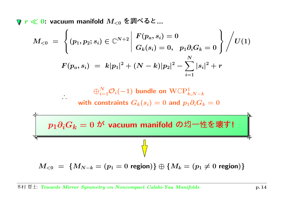$r \ll 0$ : vacuum manifold  $M_{< 0}$  を調べると ...

∴

$$
M_{<0}\;=\;\left\{(p_1,p_2;s_i)\in\mathbb{C}^{N+2}\left|\begin{array}{l}F(p_a,s_i)=0\\ G_k(s_i)=0,\;\;p_1\partial_iG_k=0\end{array}\right\}\right/U(1)\\ F(p_a,s_i)\;=\;k|p_1|^2+(N-k)|p_2|^2-\sum_{i=1}^N|s_i|^2+r
$$

 $\oplus_{i=1}^N\mathcal{O}_i(-1)$  bundle on  $\operatorname{WCP}^1_{k,N-k}$ with constraints  $G_k(s_i) = 0$  and  $p_1 \partial_i G_k = 0$ 

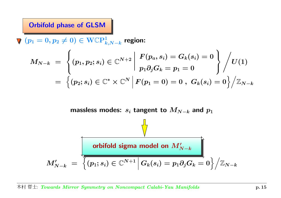#### Orbifold phase of GLSM

 $\Psi(p_1 = 0, p_2 \neq 0) \in \text{WCP}^1_{k,N-k}$  region:

$$
M_{N-k} \;=\; \left\{ (p_1,p_2;s_i) \in \mathbb{C}^{N+2} \; \middle\vert \; \begin{gathered} F(p_a,s_i) = G_k(s_i) = 0 \\ p_1 \partial_j G_k = p_1 = 0 \end{gathered} \right\} \Bigg/ U(1) \\ \\ = \; \left\{ (p_2;s_i) \in \mathbb{C}^* \times \mathbb{C}^N \; \middle\vert \; F(p_1=0) = 0 \; , \; G_k(s_i) = 0 \right\} \Big/ \mathbb{Z}_{N-k}
$$

massless modes:  $s_i$  tangent to  $\boldsymbol{M_{N-k}}$  and  $\boldsymbol{p_1}$ 

$$
M'_{N-k} \;=\; \overline{\left\{(p_1;s_i)\in \mathbb{C}^{N+1} \,\Big|\, G_k(s_i)=p_1\partial_j G_k=0\right\}\Big/ \mathbb{Z}_{N-k}}
$$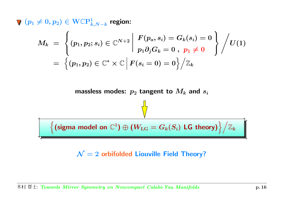$\Psi(p_1 \neq 0, p_2) \in \mathrm{WCP}^1_{k,N-k}$  region:

$$
\begin{array}{lcl} M_k & = & \left\lbrace \left. (p_1, p_2; s_i) \in \mathbb{C}^{N+2} \,\right| \, \displaystyle\frac{F(p_a, s_i) = G_k(s_i) = 0}{p_1 \partial_j G_k = 0 \,\, , \,\, p_1 \neq 0} \,\, \right\rbrace \right/ U(1) \\ \\ & = & \left\lbrace \left. (p_1, p_2) \in \mathbb{C}^* \times \mathbb{C} \,\right| F(s_i = 0) = 0 \right\rbrace \right/ \mathbb{Z}_k \end{array}
$$

massless modes:  $\,p_2$  tangent to  $M_k$  and  $s_i$ 

 $\left\{\left(\text{sigma model on }\mathbb{C}^1\right)\oplus\left(W_{\text{LG}}=G_k(S_i)\;\textsf{LG theory}\right)\right\}\big/\mathbb{Z}_k.$ 

 $\mathcal{N}=2$  orbifolded Liouville Field Theory?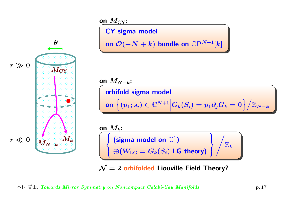

## on  $M_{\rm CY}$ :

CY sigma model

on  $\mathcal O(-N+k)$  bundle on  $\mathbb C \mathrm P^{N-1}[k]$ 

on  $M_{N-k}\mathpunct:$ orbifold sigma model onn $\left\{(p_{1}; s_{i})\in\mathbb{C}^{N+1}\Big| G_{k}(S_{i})=p_{1}\partial_{j}G_{k}=0\right\}\Big/ \mathbb{Z}_{N-k}$ on  $M_k\!\!$  :  $\sqrt{ }$ 

 $\begin{array}{c} \left( \text{sigma model on } \mathbb{C}^1 \right) \ \oplus (W_\text{LG} = G_k(S_i) \; \textsf{LG theory}) \end{array} \Bigg\} \Bigg/ \mathbb{Z}_k$ 

 $\mathcal{N}=2$  orbifolded Liouville Field Theory?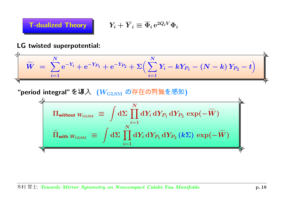

$$
\fbox{\sf \textbf{T}-dualized Theory} \qquad \qquad Y_i + \overline{Y}_i \equiv \overline{\Phi}_i \, \mathrm{e}^{2Q_i V} \Phi_i
$$

#### LG twisted superpotential:

 $\mathbf{r}$ 

$$
\widetilde{W} \;=\; \sum_{i=1}^N \mathrm{e}^{-Y_i} + \mathrm{e}^{-Y_{P_1}} + \mathrm{e}^{-Y_{P_2}} + \Sigma \Big( \sum_{i=1}^N Y_i - k Y_{P_1} - \left(N-k\right) Y_{P_2} - t \Big) \hspace{3.8cm}\hspace{3.2cm}\hspace{3.2cm}\hspace{3.2cm}\hspace{3.2cm}\hspace{3.2cm}\hspace{3.2cm}\hspace{3.2cm}\hspace{3.2cm}\hspace{3.2cm}\hspace{3.2cm}\hspace{3.2cm}\hspace{3.2cm}\hspace{3.2cm}\hspace{3.2cm}\hspace{3.2cm}\hspace{3.2cm}\hspace{3.2cm}\hspace{3.2cm}\hspace{3.2cm}\hspace{3.2cm}\hspace{3.2cm}\hspace{3.2cm}\hspace{3.2cm}\hspace{3.2cm}\hspace{3.2cm}\hspace{3.2cm}\hspace{3.2cm}\hspace{3.2cm}\hspace{3.2cm}\hspace{3.2cm}\hspace{3.2cm}\hspace{3.2cm}\hspace{3.2cm}\hspace{3.2cm}\hspace{3.2cm}\hspace{3.2cm}\hspace{3.2cm}\hspace{3.2cm}\hspace{3.2cm}\hspace{3.2cm}\hspace{3.2cm}\hspace{3.2cm}\hspace{3.2cm}\hspace{3.2cm}\hspace{3.2cm}\hspace{3.2cm}\hspace{3.2cm}\hspace{3.2cm}\hspace{3.2cm}\hspace{3.2cm}\hspace{3.2cm}\hspace{3.2cm}\hspace{3.2cm}\hspace{3.2cm}\hspace{3.2cm}\hspace{3.2cm}\hspace{3.2cm}\hspace{3.2cm}\hspace{3.2cm}\hspace{3.2cm}\hspace{3.2cm}\hspace{3.2cm}\hspace{3.2cm}\hspace{3.2cm}\hspace{3.2cm}\hspace{3.2cm}\hspace{3.2cm}\hspace{3.2cm}\hspace{3.2cm}\hspace{3.2cm}\hspace{3.2cm}\hspace{3.2cm}\hspace{3.2cm}\hspace{3.2cm}\hspace{3.2cm}\hspace{3.2cm}\hspace{3.2cm}\hspace{3.2cm}\hspace{3.2cm}\hspace{3.2cm}\hspace{3.2cm}\hspace{3
$$

"period integral" を導入  $\,$  ( $W_{\text{GLSM}}\,$  の存在の有無を感知)

$$
\Pi_{\text{without }W_{\text{GLSM}}} \equiv \int d\Sigma \prod_{i=1}^{N} dY_{i} dY_{P_{1}} dY_{P_{2}} \exp(-\widetilde{W})
$$
\n
$$
\widehat{\Pi}_{\text{with }W_{\text{GLSM}}} \equiv \int d\Sigma \prod_{i=1}^{N} dY_{i} dY_{P_{1}} dY_{P_{2}} (k\Sigma) \exp(-\widetilde{W})
$$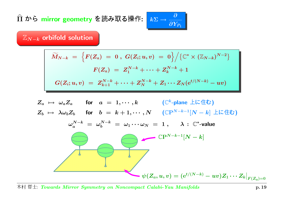Π  $\widehat{\phantom{a}}$ ら mirror geometry を読み取る操作  $\colon \mid k\Sigma \rightarrow$ 

 $\mathbb{Z}_{N-k}$  orbifold solution

$$
\widetilde{M}_{N-k} \;=\; \Big\{F(Z_a) \;=\; 0\;,\; G(Z_i;u,v) \;=\; 0 \Big\}\Big/\big\{{\mathbb C}^*\times ({\mathbb Z}_{N-k})^{N-2}\big\}\\ F(Z_a) \;=\; Z_1^{N-k}+\cdots+Z_k^{N-k}+1\\ G(Z_i;u,v) \;=\; Z_{k+1}^{N-k}+\cdots+Z_N^{N-k}+Z_1\cdots Z_N({\rm e}^{t/(N-k)}-uv)
$$

 $\rightarrow \frac{\partial}{\partial Y_{P_1}}$ 

$$
Z_a \rightarrow \omega_a Z_a \quad \text{for} \quad a = 1, \cdots, k \qquad (\mathbb{C}^k \text{-plane } \pm \mathbb{L} \pm \mathbb{t})
$$
\n
$$
Z_b \rightarrow \lambda \omega_b Z_b \quad \text{for} \quad b = k+1, \cdots, N \qquad (\mathbb{C}P^{N-k-1}[N-k] \pm \mathbb{L} \pm \mathbb{t})
$$
\n
$$
\omega_a^{N-k} = \omega_b^{N-k} = \omega_1 \cdots \omega_N = 1, \qquad \lambda : \mathbb{C}^* \text{-value}
$$
\n
$$
\mathbb{C}P^{N-k-1}[N-k]
$$
\n
$$
\psi(Z_a, u, v) = (e^{t/(N-k)} - uv)Z_1 \cdots Z_k|_{F(Z_a)=0}
$$

村 哲士: *Towards Mirror Symmetry on Noncompact Calabi-Yau Manifolds* p.19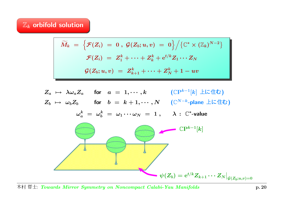#### $\mathbb{Z}_k$  orbifold solution

$$
\widetilde{M}_k \;=\; \Big\{ \mathcal{F}(Z_i) \;=\; 0 \;,\; \mathcal{G}(Z_b;u,v) \;=\; 0 \Big\} \Big/ \big\{ \mathbb{C}^* \times (\mathbb{Z}_k)^{N-2} \big\} \notag\\ \mathcal{F}(Z_i) \;=\; Z_1^k + \cdots + Z_k^k + \mathrm{e}^{t/k} Z_1 \cdots Z_N \notag\\ \mathcal{G}(Z_b;u,v) \;=\; Z_{k+1}^k + \cdots + Z_N^k + 1 - uv
$$

$$
Z_a \mapsto \lambda \omega_a Z_a \quad \text{for} \quad a = 1, \cdots, k \qquad \text{(CP$^{k-1}$[k$] $\pm$L$$\overline{\triangle$t$})}
$$
\n
$$
Z_b \mapsto \omega_b Z_b \quad \text{for} \quad b = k+1, \cdots, N \qquad \text{(C$^{N-k}$-plane $\pm$L$$\overline{\triangle$t$})}
$$
\n
$$
\omega_a^k = \omega_b^k = \omega_1 \cdots \omega_N = 1, \qquad \lambda : \mathbb{C}^* \text{-value}
$$

$$
\left\{\begin{array}{c}\mathbb{C}\mathrm{P}^{k-1}[k]\\\\\hline\\\\\psi(Z_b)=\mathrm{e}^{t/k}Z_{k+1}\cdots Z_N|_{\mathcal{G}(Z_b;u,v)=0}\end{array}\right.
$$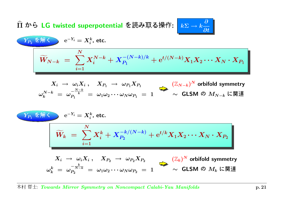Π bら LG twisted superpotential を読み取る操作 : |  $k\Sigma$   $\rightarrow$ 

$$
\widetilde{W}_{N-k} = \sum_{i=1}^{N} X_i^{N-k} + X_{P_1}^{-(N-k)/k} + e^{t/(N-k)} X_1 X_2 \cdots X_N \cdot X_{P_1}
$$
\n
$$
X_i \to \omega_i X_i, \quad X_{P_1} \to \omega_{P_1} X_{P_1}
$$
\n
$$
\omega_k^{N-k} = \omega_P^{\frac{N-k}{k}} = \omega_1 \omega_2 \cdots \omega_N \omega_{P_1} = 1 \qquad \sim \text{GLSM } \emptyset \quad M_{N-k} \text{ L} \boxtimes \text{ H}
$$
\n
$$
\widetilde{V}_{P_1} \circledast \mathbb{H} \qquad \qquad e^{-Y_i} = X_i^k, \text{ etc.}
$$
\n
$$
\widetilde{W}_k = \sum_{i=1}^{N} X_i^k + X_{P_2}^{-k/(N-k)} + e^{t/k} X_1 X_2 \cdots X_N \cdot X_{P_2}
$$
\n
$$
X_i \to \omega_i X_i, \quad X_{P_2} \to \omega_{P_2} X_{P_2}
$$
\n
$$
\omega_k^k = \omega_{P_2}^{-N-k} = \omega_1 \omega_2 \cdots \omega_N \omega_{P_2} = 1 \qquad \sim \text{GLSM } \emptyset \quad M_k \text{ L} \boxtimes \text{ H}
$$

 $\rightarrow k\frac{\partial}{\partial t}$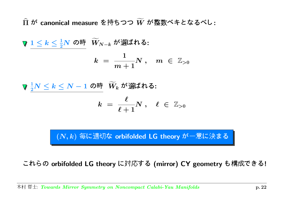Π  $\widehat{\phantom{1}}$ -canonical measure を持ちつつ  $W$  $\widetilde{\phantom{m}}$ -:

 $1\leq k\leq \frac{1}{2}N$  の時  $\widetilde{W}_{1}$  $W_{N-k}$  が選ばれる:  $k$   $=$ 1  $m+1$  $N\ ,\quad m\ \in\ \mathbb{Z}_{>0}$ 

1  $\frac{1}{2}N\leq k\leq N-1$  の時  $\widetilde{W}_{k}$  $W_k$  が選ばれる:  $k$   $=$  $\boldsymbol{\ell}$  $\ell + 1$  $N \; , \quad \ell \; \in \; {\mathbb Z}_{>0}$ 

 $(N,k)$  毎に適切な orbifolded <code>LG</code> theory が一意に決ま

れらの orbifolded LG theory に対応する (mirror) CY geometry も構成できる!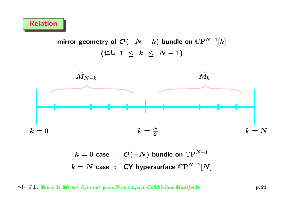mirror geometry of  $\mathcal{O}(-N+k)$  bundle on  $\mathbb{C}\mathrm{P}^{N-1}[k]$ ( $\left( \mathbb{4} \cup 1 \leq k \leq N-1 \right)$ 



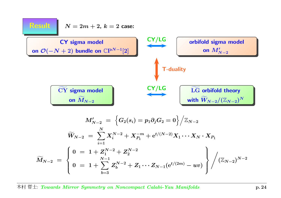| Result                                                                                                          | $N = 2m + 2$ , $k = 2$ case: |                      |
|-----------------------------------------------------------------------------------------------------------------|------------------------------|----------------------|
| CY sigma model                                                                                                  | $CY / LG$                    | orbifold sigma model |
| on $\mathcal{O}(-N + 2)$ bundle on $\mathbb{CP}^{N-1}[2]$                                                       | Tr-duality                   |                      |
| $\overline{CY}$ sigma model                                                                                     | $\overline{M}_{N-2}$         | Tr-duality           |
| $M'_{N-2} = \left\{ G_2(s_i) = p_1 \partial_j G_2 = 0 \right\} / \mathbb{Z}_{N-2}$                              |                              |                      |
| $\overline{W}_{N-2} = \sum_{i=1}^{N} X_i^{N-2} + X_{p_1}^{-m} + e^{t/(N-2)} X_1 \cdots X_N \cdot X_{p_1}$       |                              |                      |
| $\widetilde{M}_{N-2} = \left\{ 0 = 1 + Z_1^{N-2} + Z_2^{N-2}$                                                   |                              |                      |
| $0 = 1 + \sum_{b=3}^{N-1} Z_b^{N-2} + Z_1 \cdots Z_{N-1} (e^{t/(2m)} - uv) \right\} / (\mathbb{Z}_{N-2})^{N-2}$ |                              |                      |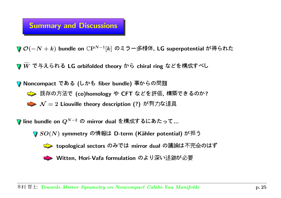# Summary and Discussions

 $\mathcal{O}(-N+k)$  bundle on  $\mathbb{C}\mathrm{P}^{N-1}[k]$  のミラー多様体, LG superpotential が得られ

 $\boldsymbol{W}$ —<br>— 与えられる LG orbifolded theory から chiral ring などを構成すべし

Noncompact ( fiber bundle) !(co)homology "CFT #\$, %&? N<sup>=</sup> <sup>2</sup> Liouville theory description (?) '()\*

line bundle on  $Q^{N-2}$  の mirror dual を構成するにあたって…

 $SO(N)$  symmetry の情報は D-term (Kähler potential) が担



 $\Rightarrow$  topological sectors のみでは mirror dual の議論は不完全のはず

Witten, Hori-Vafa formulation :;<=>?@A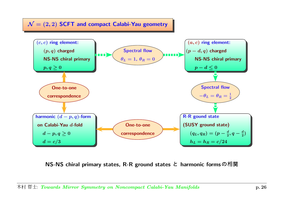$\mathcal{N}=(2,2)$  SCFT and compact Calabi-Yau geometry



NS-NS chiral primary states, R-R ground states と harmonic formsの相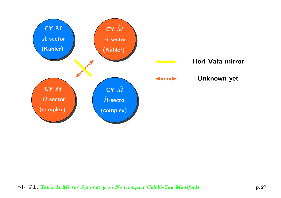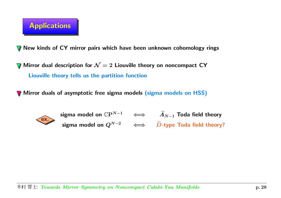

New kinds of CY mirror pairs which have been unknown cohomology rings

Mirror dual description for  ${\cal N}=2$  Liouville theory on noncompact <code>CY</code> Liouville theory tells us the partition function

Mirror duals of asymptotic free sigma models <mark>(sigma models on HSS)</mark>



sigma model on  $\mathbb{C}\mathrm{P}^{N-1} \quad \iff \quad \widehat{A}_{N-1}$  Toda field theory sigma model on  $Q^{N-2}\quad\iff\quad\widehat D\text{-type Toda field theory?$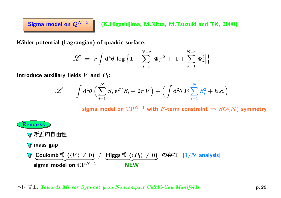Sigma model on  $Q^{N-2}$  | (K.Higashijima, M.Nitta, M.Tsuzuki and TK, 2000)

Kähler potential (Lagrangian) of quadric surface:

$$
\mathscr{L} \;=\; r \int \mathrm{d}^4 \theta \,\log \Big\{ 1 + \sum_{j=1}^{N-2} |\Phi_j|^2 + \Big| 1 + \sum_{k=1}^{N-2} \Phi_k^2 \Big| \Big\}
$$

Introduce auxiliary fields  $V$  and  $P_1\!\!$  :

$$
\mathscr{L} \;=\; \int \mathrm{d}^4 \theta \,\Big( \sum_{i=1}^N \overline{S}_i\, \mathrm{e}^{2V} S_i - 2r\, V \Big) + \Big( \int \mathrm{d}^2 \theta\, P_1 \! \sum_{i=1}^N S_i^2 + h.c. \Big)
$$

sigma model on  $\mathbb{C}P^{N-1}$  with F-term constraint  $\Rightarrow SO(N)$  symmetry

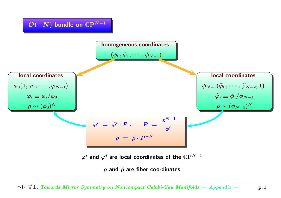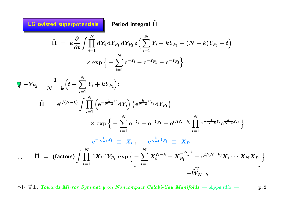LG twisted superpotentials  $\parallel$  Period integral  $\Pi$ 

 $\ddot{\cdot}$ .

b

$$
\widehat{\Pi} = k \frac{\partial}{\partial t} \int \prod_{i=1}^{N} dY_i dY_{P_1} dY_{P_2} \delta \Big( \sum_{i=1}^{N} Y_i - kY_{P_1} - (N - k)Y_{P_2} - t \Big) \times \exp \Big\{ - \sum_{i=1}^{N} e^{-Y_i} - e^{-Y_{P_1}} - e^{-Y_{P_2}} \Big\} \n\overline{\Psi} - Y_{P_2} = \frac{1}{N - k} \Big( t - \sum_{i=1}^{N} Y_i + kY_{P_1} \Big): \n\widehat{\Pi} = e^{t/(N-k)} \int \prod_{i=1}^{N} \Big( e^{-\frac{1}{N-k}Y_i} dY_i \Big) \Big( e^{\frac{k}{N-k}Y_{P_1}} dY_{P_1} \Big) \times \exp \Big\{ - \sum_{i=1}^{N} e^{-Y_i} - e^{-Y_{P_1}} - e^{t/(N-k)} \prod_{i=1}^{N} e^{-\frac{1}{N-k}Y_i} e^{\frac{k}{N-k}Y_{P_1}} \Big\} \n\frac{e^{-\frac{1}{N-k}Y_i}}{e^{-\frac{1}{N-k}Y_i}} \equiv X_i, \qquad e^{\frac{k}{N-k}Y_{P_1}} \equiv X_{P_1} \n\therefore \qquad \widehat{\Pi} = \text{(factors)} \int \prod_{i=1}^{N} dX_i dY_{P_1} \exp \Big\{ - \sum_{i=1}^{N} X_i^{N-k} - X_{P_1}^{-\frac{N-k}{k}} - e^{t/(N-k)} X_1 \cdots X_N X_{P_1} \Big\} \n- \widetilde{W}_{N-k}
$$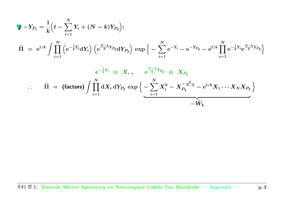$$
\begin{array}{lcl} \displaystyle \nabla & \nabla & \nabla P_1 = \frac{1}{k} \Big( t - \sum\limits_{i=1}^{N} Y_i + (N-k) Y_{P_2} \Big) : \\[2mm] \displaystyle \widehat{\Pi} & = & \displaystyle \mathrm{e}^{t/k} \int \prod\limits_{i=1}^{N} \Big( \mathrm{e}^{- \frac{1}{k} Y_i} \mathrm{d} Y_i \Big) \, \Big( \mathrm{e}^{\frac{N-k}{k} Y_{P_2}} \mathrm{d} Y_{P_2} \Big) \, \exp \Big\{ - \sum\limits_{i=1}^{N} \mathrm{e}^{- Y_i} - \mathrm{e}^{- Y_{P_2}} - \mathrm{e}^{t/k} \prod\limits_{i=1}^{N} \mathrm{e}^{- \frac{1}{k} Y_i} \mathrm{e}^{\frac{N-k}{k} Y_{P_2}} \Big\} \\[2mm] & & \displaystyle \mathrm{e}^{- \frac{1}{k} Y_i} & \equiv & \displaystyle X_i \; , \qquad \mathrm{e}^{\frac{N-k}{k} Y_{P_2}} & \equiv & X_{P_2} \\[2mm] & & \displaystyle \therefore & \widehat{\Pi} & = & \displaystyle \big( \text{factors} \big) \int \prod\limits_{i=1}^{N} \mathrm{d} X_i \, \mathrm{d} Y_{P_2} \, \exp \Big\{ - \sum\limits_{i=1}^{N} X_i^k - X_{P_2}^{- \frac{k}{N-k}} - \mathrm{e}^{t/k} X_1 \cdots X_N X_{P_2} \Big\} \end{array}
$$

 $-W_i$  $\widetilde{\phantom{m}}$  $\bm{v} \bm{v} \bm{k}$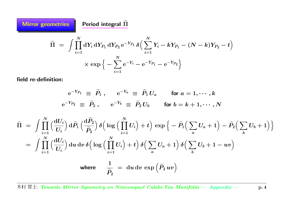**Mirror geometries** r geometries  $\qquad \qquad$  Period integral  $\widehat{\Pi}$ Π b = $\int \prod_{i=1}^N \mathrm{d} Y_i \, \mathrm{d} Y_{P_1} \, \mathrm{d} Y_{P_2} \, \mathrm{e}^{-Y_{P_1}} \, \delta \Big( \sum_{i=1}^N Y_i - k Y_{P_1} - (N-k) Y_{P_2} - t \Big)$ × $\times \exp \Big\{ - \sum$  $\boldsymbol{N}$  $i$   $\!=$   $\!1$  $\mathrm{e}^{-Y_i}$  —  $\Big\{-\mathrm{e}^{-Y_{P_1}}-\mathrm{e}^{-Y_{P_2}}\Big\}$ 

field re-definition:

$$
\begin{aligned}\n\mathrm{e}^{-Y_{P_1}} &\equiv \widetilde{P}_1 \ , \qquad \mathrm{e}^{-Y_a} \ \equiv \ \widetilde{P}_1 \, U_a \qquad \text{for $a=1,\cdots,k$} \\
\mathrm{e}^{-Y_{P_2}} &\equiv \ \widetilde{P}_2 \ , \qquad \mathrm{e}^{-Y_b} \ \equiv \ \widetilde{P}_2 \, U_b \qquad \text{for $b=k+1,\cdots,N$}\n\end{aligned}
$$

$$
\begin{aligned}\n\widehat{\Pi} &= \int \prod_{i=1}^{N} \left( \frac{\mathrm{d}U_{i}}{U_{i}} \right) \mathrm{d}\widetilde{P}_{1} \left( \frac{\mathrm{d}\widetilde{P}_{2}}{\widetilde{P}_{2}} \right) \delta \Big( \log \Big( \prod_{i=1}^{N} U_{i} \Big) + t \Big) \exp \Big\{ - \widetilde{P}_{1} \Big( \sum_{a} U_{a} + 1 \Big) - \widetilde{P}_{2} \Big( \sum_{b} U_{b} + 1 \Big) \Big\} \\
&= \int \prod_{i=1}^{N} \left( \frac{\mathrm{d}U_{i}}{U_{i}} \right) \mathrm{d}u \, \mathrm{d}v \, \delta \Big( \log \Big( \prod_{i=1}^{N} U_{i} \Big) + t \Big) \, \delta \Big( \sum_{a} U_{a} + 1 \Big) \, \delta \Big( \sum_{b} U_{b} + 1 - uv \Big) \\
&\text{where} \quad \frac{1}{\widetilde{P}_{2}} &= \mathrm{d}u \, \mathrm{d}v \, \exp \Big( \widetilde{P}_{2} \, uv \Big)\n\end{aligned}
$$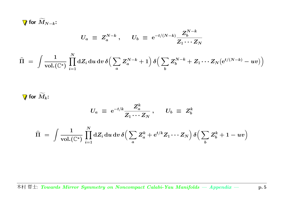for  $\bm{M}$  $\widetilde{\phantom{m}}$  $N_{N-k}$ :

$$
U_a \; \equiv \; Z_a^{N-k} \; , \quad \ \ U_b \; \equiv \; {\rm e}^{-t/(N-k)} \frac{Z_b^{N-k}}{Z_1 \cdots Z_N}
$$

$$
\widehat{\Pi} \;=\; \int \frac{1}{\text{vol.}(\mathbb{C}^*)}\prod_{i=1}^N \text{d} Z_i \,\text{d} u \,\text{d} v \,\delta\Big(\sum_a Z_a^{N-k} + 1\Big) \,\delta\Big(\sum_b Z_b^{N-k} + Z_1\cdots Z_N\big(\mathrm{e}^{t/(N-k)} - uv\big)\Big)
$$

for  $\bm{M}$  $\widetilde{\phantom{m}}$ (VI  $_k$  :

$$
U_a \; \equiv \; {\rm e}^{-t/k} \frac{Z_a^k}{Z_1 \cdots Z_N} \, , \quad \ \ U_b \; \equiv \; Z_b^k
$$

$$
\widehat{\Pi} \;=\; \int \frac{1}{\mathrm{vol.}(\mathbb{C}^*)}\,\prod_{i=1}^N \mathrm{d} Z_i\,\mathrm{d} u\,\mathrm{d} v\,\delta\Big(\sum_a Z_a^k+\mathrm{e}^{t/k}Z_1\cdots Z_N\Big)\,\delta\Big(\sum_b Z_b^k+1-uv\Big)
$$